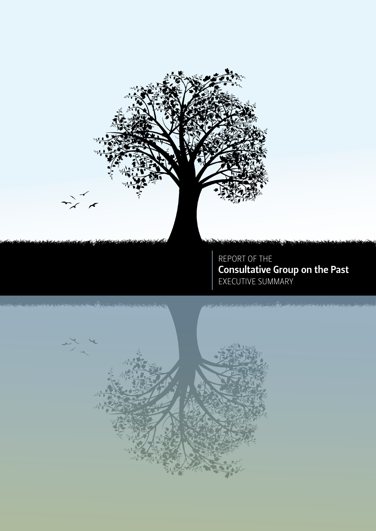



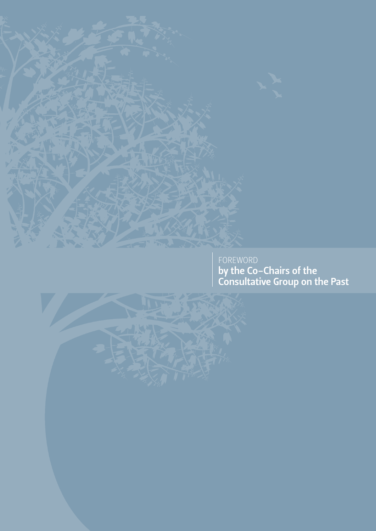

FOREWORD by the Co-Chairs of the Consultative Group on the Past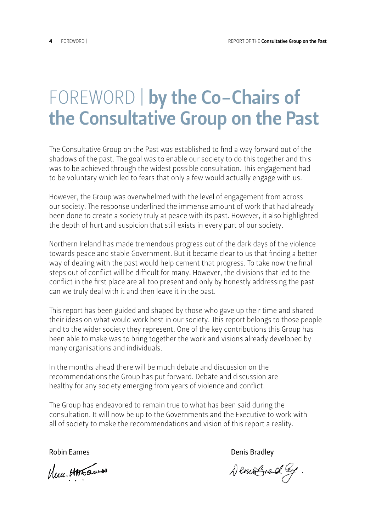## FOREWORD | by the Co-Chairs of the Consultative Group on the Past

The Consultative Group on the Past was established to find a way forward out of the shadows of the past. The goal was to enable our society to do this together and this was to be achieved through the widest possible consultation. This engagement had to be voluntary which led to fears that only a few would actually engage with us.

However, the Group was overwhelmed with the level of engagement from across our society. The response underlined the immense amount of work that had already been done to create a society truly at peace with its past. However, it also highlighted the depth of hurt and suspicion that still exists in every part of our society.

Northern Ireland has made tremendous progress out of the dark days of the violence towards peace and stable Government. But it became clear to us that finding a better way of dealing with the past would help cement that progress. To take now the final steps out of conflict will be difficult for many. However, the divisions that led to the conflict in the first place are all too present and only by honestly addressing the past can we truly deal with it and then leave it in the past.

This report has been guided and shaped by those who gave up their time and shared their ideas on what would work best in our society. This report belongs to those people and to the wider society they represent. One of the key contributions this Group has been able to make was to bring together the work and visions already developed by many organisations and individuals.

In the months ahead there will be much debate and discussion on the recommendations the Group has put forward. Debate and discussion are healthy for any society emerging from years of violence and conflict.

The Group has endeavored to remain true to what has been said during the consultation. It will now be up to the Governments and the Executive to work with all of society to make the recommendations and vision of this report a reality.

Nuc. HATEQues

Robin Eames **No. 2018 Constant Constant Constant Constant Constant Constant Constant Constant Constant Constant Constant Constant Constant Constant Constant Constant Constant Constant Constant Constant Constant Constant** 

DemoGrad leg.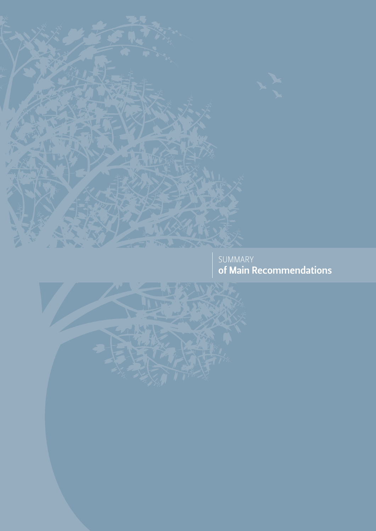

SUMMARY of Main Recommendations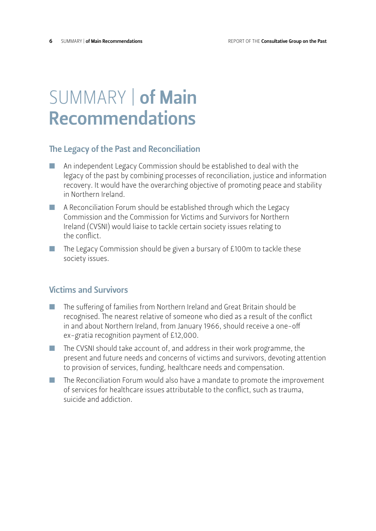## SUMMARY | of Main Recommendations

#### The Legacy of the Past and Reconciliation

- n An independent Legacy Commission should be established to deal with the legacy of the past by combining processes of reconciliation, justice and information recovery. It would have the overarching objective of promoting peace and stability in Northern Ireland.
- n A Reconciliation Forum should be established through which the Legacy Commission and the Commission for Victims and Survivors for Northern Ireland (CVSNI) would liaise to tackle certain society issues relating to the conflict.
- $\blacksquare$  The Legacy Commission should be given a bursary of £100m to tackle these society issues.

#### Victims and Survivors

- $\blacksquare$  The suffering of families from Northern Ireland and Great Britain should be recognised. The nearest relative of someone who died as a result of the conflict in and about Northern Ireland, from January 1966, should receive a one-off ex-gratia recognition payment of £12,000.
- $\blacksquare$  The CVSNI should take account of, and address in their work programme, the present and future needs and concerns of victims and survivors, devoting attention to provision of services, funding, healthcare needs and compensation.
- $\blacksquare$  The Reconciliation Forum would also have a mandate to promote the improvement of services for healthcare issues attributable to the conflict, such as trauma, suicide and addiction.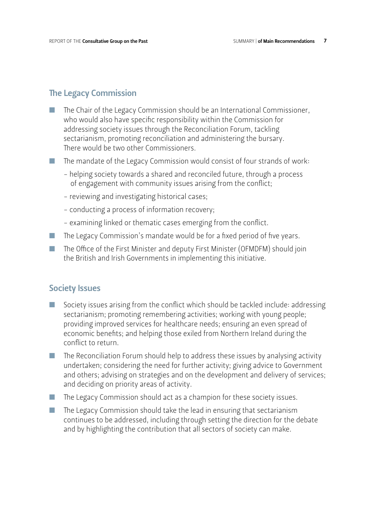#### The Legacy Commission

- The Chair of the Legacy Commission should be an International Commissioner, who would also have specific responsibility within the Commission for addressing society issues through the Reconciliation Forum, tackling sectarianism, promoting reconciliation and administering the bursary. There would be two other Commissioners.
- $\blacksquare$  The mandate of the Legacy Commission would consist of four strands of work:
	- helping society towards a shared and reconciled future, through a process of engagement with community issues arising from the conflict;
	- reviewing and investigating historical cases;
	- conducting a process of information recovery;
	- examining linked or thematic cases emerging from the conflict.
- $\blacksquare$  The Legacy Commission's mandate would be for a fixed period of five years.
- $\blacksquare$  The Office of the First Minister and deputy First Minister (OFMDFM) should join the British and Irish Governments in implementing this initiative.

#### Society Issues

- $\blacksquare$  Society issues arising from the conflict which should be tackled include: addressing sectarianism; promoting remembering activities; working with young people; providing improved services for healthcare needs; ensuring an even spread of economic benefits; and helping those exiled from Northern Ireland during the conflict to return.
- $\blacksquare$  The Reconciliation Forum should help to address these issues by analysing activity undertaken; considering the need for further activity; giving advice to Government and others; advising on strategies and on the development and delivery of services; and deciding on priority areas of activity.
- $\blacksquare$  The Legacy Commission should act as a champion for these society issues.
- $\blacksquare$  The Legacy Commission should take the lead in ensuring that sectarianism continues to be addressed, including through setting the direction for the debate and by highlighting the contribution that all sectors of society can make.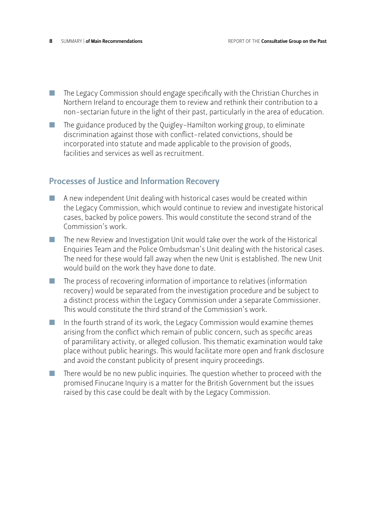- $\blacksquare$  The Legacy Commission should engage specifically with the Christian Churches in Northern Ireland to encourage them to review and rethink their contribution to a non-sectarian future in the light of their past, particularly in the area of education.
- $\blacksquare$  The guidance produced by the Quigley-Hamilton working group, to eliminate discrimination against those with conflict-related convictions, should be incorporated into statute and made applicable to the provision of goods, facilities and services as well as recruitment.

## Processes of Justice and Information Recovery

- $\blacksquare$  A new independent Unit dealing with historical cases would be created within the Legacy Commission, which would continue to review and investigate historical cases, backed by police powers. This would constitute the second strand of the Commission's work.
- $\blacksquare$  The new Review and Investigation Unit would take over the work of the Historical Enquiries Team and the Police Ombudsman's Unit dealing with the historical cases. The need for these would fall away when the new Unit is established. The new Unit would build on the work they have done to date.
- $\blacksquare$  The process of recovering information of importance to relatives (information recovery) would be separated from the investigation procedure and be subject to a distinct process within the Legacy Commission under a separate Commissioner. This would constitute the third strand of the Commission's work.
- $\blacksquare$  In the fourth strand of its work, the Legacy Commission would examine themes arising from the conflict which remain of public concern, such as specific areas of paramilitary activity, or alleged collusion. This thematic examination would take place without public hearings. This would facilitate more open and frank disclosure and avoid the constant publicity of present inquiry proceedings.
- $\blacksquare$  There would be no new public inquiries. The question whether to proceed with the promised Finucane Inquiry is a matter for the British Government but the issues raised by this case could be dealt with by the Legacy Commission.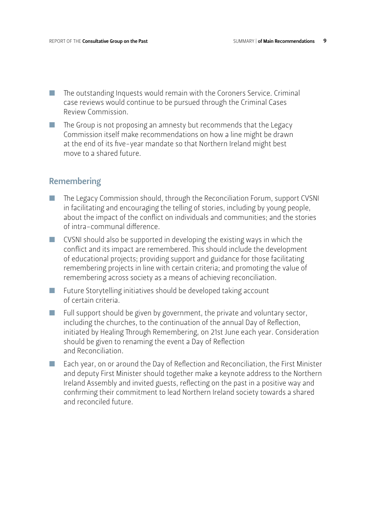- $\blacksquare$  The outstanding Inquests would remain with the Coroners Service. Criminal case reviews would continue to be pursued through the Criminal Cases Review Commission.
- $\blacksquare$  The Group is not proposing an amnesty but recommends that the Legacy Commission itself make recommendations on how a line might be drawn at the end of its five-year mandate so that Northern Ireland might best move to a shared future.

#### **Remembering**

- $\blacksquare$  The Legacy Commission should, through the Reconciliation Forum, support CVSNI in facilitating and encouraging the telling of stories, including by young people, about the impact of the conflict on individuals and communities; and the stories of intra-communal difference.
- $\blacksquare$  CVSNI should also be supported in developing the existing ways in which the conflict and its impact are remembered. This should include the development of educational projects; providing support and guidance for those facilitating remembering projects in line with certain criteria; and promoting the value of remembering across society as a means of achieving reconciliation.
- $\blacksquare$  Future Storytelling initiatives should be developed taking account of certain criteria.
- Full support should be given by government, the private and voluntary sector, including the churches, to the continuation of the annual Day of Reflection, initiated by Healing Through Remembering, on 21st June each year. Consideration should be given to renaming the event a Day of Reflection and Reconciliation.
- $\blacksquare$  Each year, on or around the Day of Reflection and Reconciliation, the First Minister and deputy First Minister should together make a keynote address to the Northern Ireland Assembly and invited guests, reflecting on the past in a positive way and confirming their commitment to lead Northern Ireland society towards a shared and reconciled future.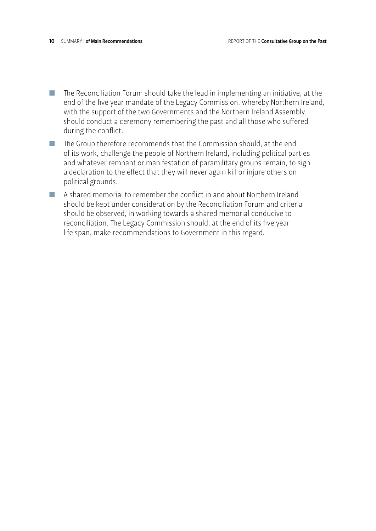- $\blacksquare$  The Reconciliation Forum should take the lead in implementing an initiative, at the end of the five year mandate of the Legacy Commission, whereby Northern Ireland, with the support of the two Governments and the Northern Ireland Assembly, should conduct a ceremony remembering the past and all those who suffered during the conflict.
- $\blacksquare$  The Group therefore recommends that the Commission should, at the end of its work, challenge the people of Northern Ireland, including political parties and whatever remnant or manifestation of paramilitary groups remain, to sign a declaration to the effect that they will never again kill or injure others on political grounds.
- $\blacksquare$  A shared memorial to remember the conflict in and about Northern Ireland should be kept under consideration by the Reconciliation Forum and criteria should be observed, in working towards a shared memorial conducive to reconciliation. The Legacy Commission should, at the end of its five year life span, make recommendations to Government in this regard.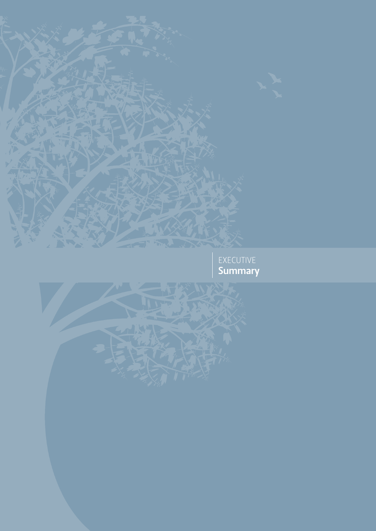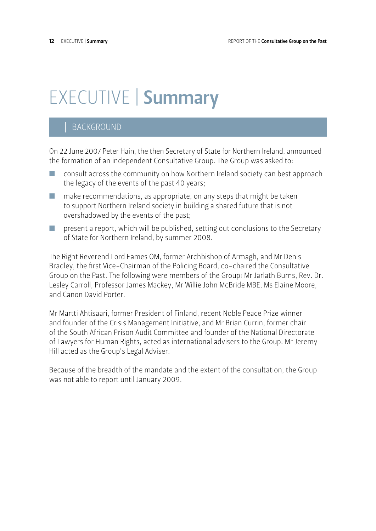# EXECUTIVE | Summary

## | BACKGROUND

On 22 June 2007 Peter Hain, the then Secretary of State for Northern Ireland, announced the formation of an independent Consultative Group. The Group was asked to:

- $\Box$  consult across the community on how Northern Ireland society can best approach the legacy of the events of the past 40 years;
- $\blacksquare$  make recommendations, as appropriate, on any steps that might be taken to support Northern Ireland society in building a shared future that is not overshadowed by the events of the past;
- $\blacksquare$  present a report, which will be published, setting out conclusions to the Secretary of State for Northern Ireland, by summer 2008.

The Right Reverend Lord Eames OM, former Archbishop of Armagh, and Mr Denis Bradley, the first Vice-Chairman of the Policing Board, co-chaired the Consultative Group on the Past. The following were members of the Group: Mr Jarlath Burns, Rev. Dr. Lesley Carroll, Professor James Mackey, Mr Willie John McBride MBE, Ms Elaine Moore, and Canon David Porter.

Mr Martti Ahtisaari, former President of Finland, recent Noble Peace Prize winner and founder of the Crisis Management Initiative, and Mr Brian Currin, former chair of the South African Prison Audit Committee and founder of the National Directorate of Lawyers for Human Rights, acted as international advisers to the Group. Mr Jeremy Hill acted as the Group's Legal Adviser.

Because of the breadth of the mandate and the extent of the consultation, the Group was not able to report until January 2009.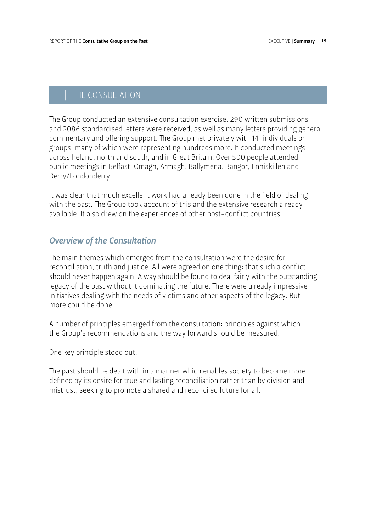## | THE CONSULTATION

The Group conducted an extensive consultation exercise. 290 written submissions and 2086 standardised letters were received, as well as many letters providing general commentary and offering support. The Group met privately with 141 individuals or groups, many of which were representing hundreds more. It conducted meetings across Ireland, north and south, and in Great Britain. Over 500 people attended public meetings in Belfast, Omagh, Armagh, Ballymena, Bangor, Enniskillen and Derry/Londonderry.

It was clear that much excellent work had already been done in the field of dealing with the past. The Group took account of this and the extensive research already available. It also drew on the experiences of other post-conflict countries.

#### *Overview of the Consultation*

The main themes which emerged from the consultation were the desire for reconciliation, truth and justice. All were agreed on one thing: that such a conflict should never happen again. A way should be found to deal fairly with the outstanding legacy of the past without it dominating the future. There were already impressive initiatives dealing with the needs of victims and other aspects of the legacy. But more could be done.

A number of principles emerged from the consultation: principles against which the Group's recommendations and the way forward should be measured.

One key principle stood out.

The past should be dealt with in a manner which enables society to become more defined by its desire for true and lasting reconciliation rather than by division and mistrust, seeking to promote a shared and reconciled future for all.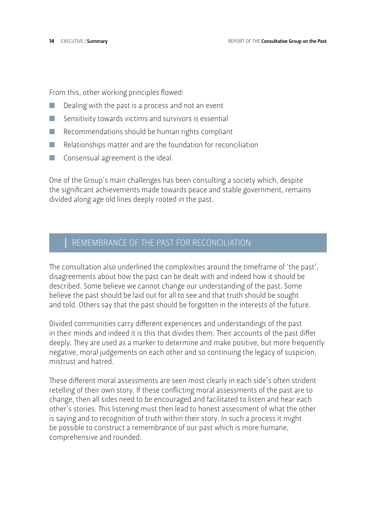From this, other working principles flowed:

- Dealing with the past is a process and not an event
- $\blacksquare$  Sensitivity towards victims and survivors is essential
- $\blacksquare$  Recommendations should be human rights compliant
- $\blacksquare$  Relationships matter and are the foundation for reconciliation
- $\blacksquare$  Consensual agreement is the ideal.

One of the Group's main challenges has been consulting a society which, despite the significant achievements made towards peace and stable government, remains divided along age old lines deeply rooted in the past.

## REMEMBRANCE OF THE PAST FOR RECONCILIATION

The consultation also underlined the complexities around the timeframe of 'the past', disagreements about how the past can be dealt with and indeed how it should be described. Some believe we cannot change our understanding of the past. Some believe the past should be laid out for all to see and that truth should be sought and told. Others say that the past should be forgotten in the interests of the future.

Divided communities carry different experiences and understandings of the past in their minds and indeed it is this that divides them. Their accounts of the past differ deeply. They are used as a marker to determine and make positive, but more frequently negative, moral judgements on each other and so continuing the legacy of suspicion, mistrust and hatred.

These different moral assessments are seen most clearly in each side's often strident retelling of their own story. If these conflicting moral assessments of the past are to change, then all sides need to be encouraged and facilitated to listen and hear each other's stories. This listening must then lead to honest assessment of what the other is saying and to recognition of truth within their story. In such a process it might be possible to construct a remembrance of our past which is more humane, comprehensive and rounded.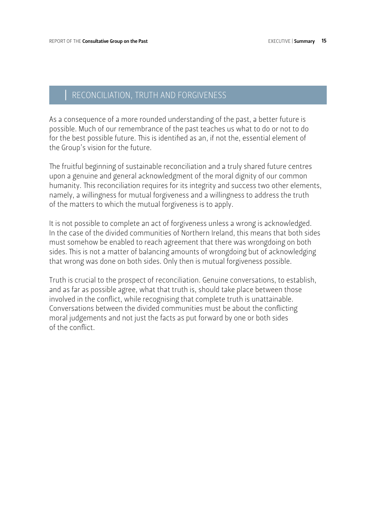## RECONCILIATION, TRUTH AND FORGIVENESS

As a consequence of a more rounded understanding of the past, a better future is possible. Much of our remembrance of the past teaches us what to do or not to do for the best possible future. This is identified as an, if not the, essential element of the Group's vision for the future.

The fruitful beginning of sustainable reconciliation and a truly shared future centres upon a genuine and general acknowledgment of the moral dignity of our common humanity. This reconciliation requires for its integrity and success two other elements, namely, a willingness for mutual forgiveness and a willingness to address the truth of the matters to which the mutual forgiveness is to apply.

It is not possible to complete an act of forgiveness unless a wrong is acknowledged. In the case of the divided communities of Northern Ireland, this means that both sides must somehow be enabled to reach agreement that there was wrongdoing on both sides. This is not a matter of balancing amounts of wrongdoing but of acknowledging that wrong was done on both sides. Only then is mutual forgiveness possible.

Truth is crucial to the prospect of reconciliation. Genuine conversations, to establish, and as far as possible agree, what that truth is, should take place between those involved in the conflict, while recognising that complete truth is unattainable. Conversations between the divided communities must be about the conflicting moral judgements and not just the facts as put forward by one or both sides of the conflict.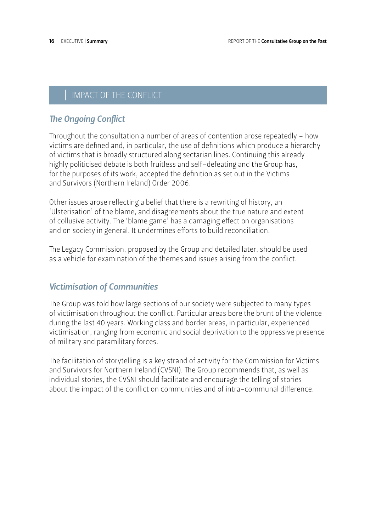## IMPACT OF THE CONFLICT

## *The Ongoing Conflict*

Throughout the consultation a number of areas of contention arose repeatedly – how victims are defined and, in particular, the use of definitions which produce a hierarchy of victims that is broadly structured along sectarian lines. Continuing this already highly politicised debate is both fruitless and self–defeating and the Group has, for the purposes of its work, accepted the definition as set out in the Victims and Survivors (Northern Ireland) Order 2006.

Other issues arose reflecting a belief that there is a rewriting of history, an 'Ulsterisation' of the blame, and disagreements about the true nature and extent of collusive activity. The 'blame game' has a damaging effect on organisations and on society in general. It undermines efforts to build reconciliation.

The Legacy Commission, proposed by the Group and detailed later, should be used as a vehicle for examination of the themes and issues arising from the conflict.

## *Victimisation of Communities*

The Group was told how large sections of our society were subjected to many types of victimisation throughout the conflict. Particular areas bore the brunt of the violence during the last 40 years. Working class and border areas, in particular, experienced victimisation, ranging from economic and social deprivation to the oppressive presence of military and paramilitary forces.

The facilitation of storytelling is a key strand of activity for the Commission for Victims and Survivors for Northern Ireland (CVSNI). The Group recommends that, as well as individual stories, the CVSNI should facilitate and encourage the telling of stories about the impact of the conflict on communities and of intra-communal difference.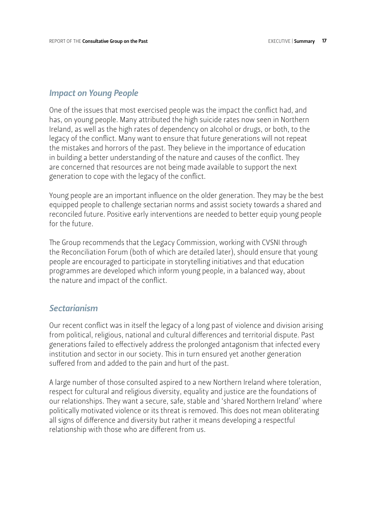#### *Impact on Young People*

One of the issues that most exercised people was the impact the conflict had, and has, on young people. Many attributed the high suicide rates now seen in Northern Ireland, as well as the high rates of dependency on alcohol or drugs, or both, to the legacy of the conflict. Many want to ensure that future generations will not repeat the mistakes and horrors of the past. They believe in the importance of education in building a better understanding of the nature and causes of the conflict. They are concerned that resources are not being made available to support the next generation to cope with the legacy of the conflict.

Young people are an important influence on the older generation. They may be the best equipped people to challenge sectarian norms and assist society towards a shared and reconciled future. Positive early interventions are needed to better equip young people for the future.

The Group recommends that the Legacy Commission, working with CVSNI through the Reconciliation Forum (both of which are detailed later), should ensure that young people are encouraged to participate in storytelling initiatives and that education programmes are developed which inform young people, in a balanced way, about the nature and impact of the conflict.

#### *Sectarianism*

Our recent conflict was in itself the legacy of a long past of violence and division arising from political, religious, national and cultural differences and territorial dispute. Past generations failed to effectively address the prolonged antagonism that infected every institution and sector in our society. This in turn ensured yet another generation suffered from and added to the pain and hurt of the past.

A large number of those consulted aspired to a new Northern Ireland where toleration, respect for cultural and religious diversity, equality and justice are the foundations of our relationships. They want a secure, safe, stable and 'shared Northern Ireland' where politically motivated violence or its threat is removed. This does not mean obliterating all signs of difference and diversity but rather it means developing a respectful relationship with those who are different from us.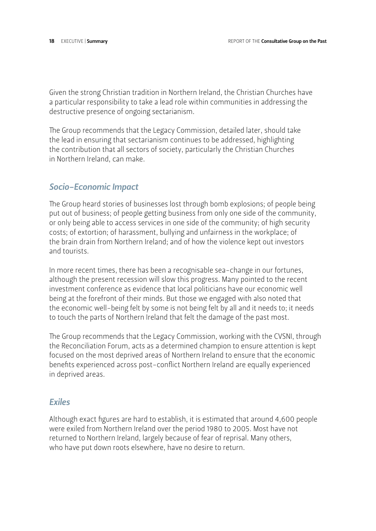Given the strong Christian tradition in Northern Ireland, the Christian Churches have a particular responsibility to take a lead role within communities in addressing the destructive presence of ongoing sectarianism.

The Group recommends that the Legacy Commission, detailed later, should take the lead in ensuring that sectarianism continues to be addressed, highlighting the contribution that all sectors of society, particularly the Christian Churches in Northern Ireland, can make.

### *Socio-Economic Impact*

The Group heard stories of businesses lost through bomb explosions; of people being put out of business; of people getting business from only one side of the community, or only being able to access services in one side of the community; of high security costs; of extortion; of harassment, bullying and unfairness in the workplace; of the brain drain from Northern Ireland; and of how the violence kept out investors and tourists.

In more recent times, there has been a recognisable sea-change in our fortunes, although the present recession will slow this progress. Many pointed to the recent investment conference as evidence that local politicians have our economic well being at the forefront of their minds. But those we engaged with also noted that the economic well-being felt by some is not being felt by all and it needs to; it needs to touch the parts of Northern Ireland that felt the damage of the past most.

The Group recommends that the Legacy Commission, working with the CVSNI, through the Reconciliation Forum, acts as a determined champion to ensure attention is kept focused on the most deprived areas of Northern Ireland to ensure that the economic benefits experienced across post-conflict Northern Ireland are equally experienced in deprived areas.

#### *Exiles*

Although exact figures are hard to establish, it is estimated that around 4,600 people were exiled from Northern Ireland over the period 1980 to 2005. Most have not returned to Northern Ireland, largely because of fear of reprisal. Many others, who have put down roots elsewhere, have no desire to return.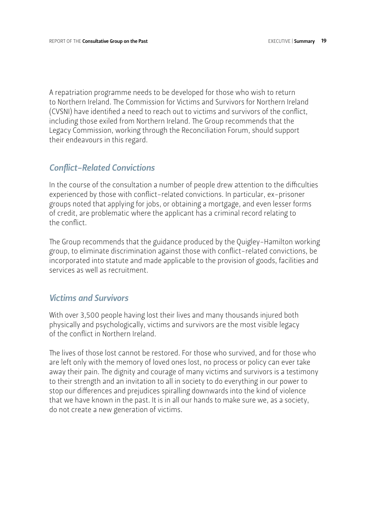A repatriation programme needs to be developed for those who wish to return to Northern Ireland. The Commission for Victims and Survivors for Northern Ireland (CVSNI) have identified a need to reach out to victims and survivors of the conflict, including those exiled from Northern Ireland. The Group recommends that the Legacy Commission, working through the Reconciliation Forum, should support their endeavours in this regard.

#### *Conflict-Related Convictions*

In the course of the consultation a number of people drew attention to the difficulties experienced by those with conflict-related convictions. In particular, ex-prisoner groups noted that applying for jobs, or obtaining a mortgage, and even lesser forms of credit, are problematic where the applicant has a criminal record relating to the conflict.

The Group recommends that the guidance produced by the Quigley-Hamilton working group, to eliminate discrimination against those with conflict-related convictions, be incorporated into statute and made applicable to the provision of goods, facilities and services as well as recruitment.

#### *Victims and Survivors*

With over 3,500 people having lost their lives and many thousands injured both physically and psychologically, victims and survivors are the most visible legacy of the conflict in Northern Ireland.

The lives of those lost cannot be restored. For those who survived, and for those who are left only with the memory of loved ones lost, no process or policy can ever take away their pain. The dignity and courage of many victims and survivors is a testimony to their strength and an invitation to all in society to do everything in our power to stop our differences and prejudices spiralling downwards into the kind of violence that we have known in the past. It is in all our hands to make sure we, as a society, do not create a new generation of victims.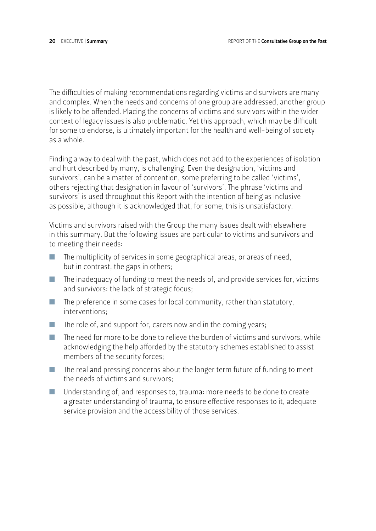The difficulties of making recommendations regarding victims and survivors are many and complex. When the needs and concerns of one group are addressed, another group is likely to be offended. Placing the concerns of victims and survivors within the wider context of legacy issues is also problematic. Yet this approach, which may be difficult for some to endorse, is ultimately important for the health and well-being of society as a whole.

Finding a way to deal with the past, which does not add to the experiences of isolation and hurt described by many, is challenging. Even the designation, 'victims and survivors', can be a matter of contention, some preferring to be called 'victims', others rejecting that designation in favour of 'survivors'. The phrase 'victims and survivors' is used throughout this Report with the intention of being as inclusive as possible, although it is acknowledged that, for some, this is unsatisfactory.

Victims and survivors raised with the Group the many issues dealt with elsewhere in this summary. But the following issues are particular to victims and survivors and to meeting their needs:

- $\blacksquare$  The multiplicity of services in some geographical areas, or areas of need, but in contrast, the gaps in others;
- $\blacksquare$  The inadequacy of funding to meet the needs of, and provide services for, victims and survivors: the lack of strategic focus;
- $\blacksquare$  The preference in some cases for local community, rather than statutory, interventions;
- $\blacksquare$  The role of, and support for, carers now and in the coming years;
- $\blacksquare$  The need for more to be done to relieve the burden of victims and survivors, while acknowledging the help afforded by the statutory schemes established to assist members of the security forces;
- $\blacksquare$  The real and pressing concerns about the longer term future of funding to meet the needs of victims and survivors;
- $\blacksquare$  Understanding of, and responses to, trauma: more needs to be done to create a greater understanding of trauma, to ensure effective responses to it, adequate service provision and the accessibility of those services.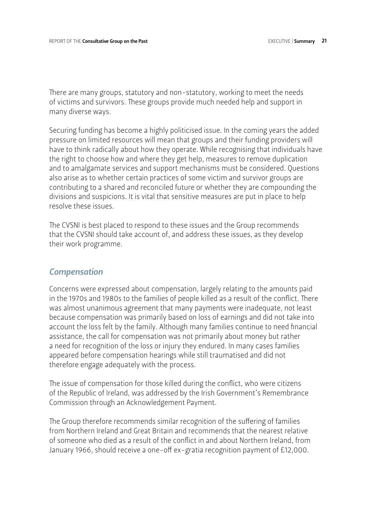There are many groups, statutory and non-statutory, working to meet the needs of victims and survivors. These groups provide much needed help and support in many diverse ways.

Securing funding has become a highly politicised issue. In the coming years the added pressure on limited resources will mean that groups and their funding providers will have to think radically about how they operate. While recognising that individuals have the right to choose how and where they get help, measures to remove duplication and to amalgamate services and support mechanisms must be considered. Questions also arise as to whether certain practices of some victim and survivor groups are contributing to a shared and reconciled future or whether they are compounding the divisions and suspicions. It is vital that sensitive measures are put in place to help resolve these issues.

The CVSNI is best placed to respond to these issues and the Group recommends that the CVSNI should take account of, and address these issues, as they develop their work programme.

#### *Compensation*

Concerns were expressed about compensation, largely relating to the amounts paid in the 1970s and 1980s to the families of people killed as a result of the conflict. There was almost unanimous agreement that many payments were inadequate, not least because compensation was primarily based on loss of earnings and did not take into account the loss felt by the family. Although many families continue to need financial assistance, the call for compensation was not primarily about money but rather a need for recognition of the loss or injury they endured. In many cases families appeared before compensation hearings while still traumatised and did not therefore engage adequately with the process.

The issue of compensation for those killed during the conflict, who were citizens of the Republic of Ireland, was addressed by the Irish Government's Remembrance Commission through an Acknowledgement Payment.

The Group therefore recommends similar recognition of the suffering of families from Northern Ireland and Great Britain and recommends that the nearest relative of someone who died as a result of the conflict in and about Northern Ireland, from January 1966, should receive a one-off ex-gratia recognition payment of £12,000.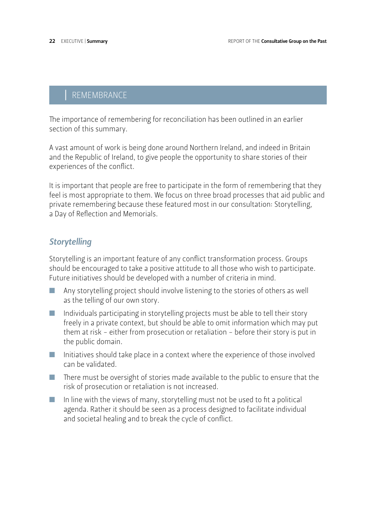## | REMEMBRANCE

The importance of remembering for reconciliation has been outlined in an earlier section of this summary.

A vast amount of work is being done around Northern Ireland, and indeed in Britain and the Republic of Ireland, to give people the opportunity to share stories of their experiences of the conflict.

It is important that people are free to participate in the form of remembering that they feel is most appropriate to them. We focus on three broad processes that aid public and private remembering because these featured most in our consultation: Storytelling, a Day of Reflection and Memorials.

## *Storytelling*

Storytelling is an important feature of any conflict transformation process. Groups should be encouraged to take a positive attitude to all those who wish to participate. Future initiatives should be developed with a number of criteria in mind.

- n Any storytelling project should involve listening to the stories of others as well as the telling of our own story.
- n Individuals participating in storytelling projects must be able to tell their story freely in a private context, but should be able to omit information which may put them at risk - either from prosecution or retaliation - before their story is put in the public domain.
- $\blacksquare$  Initiatives should take place in a context where the experience of those involved can be validated.
- There must be oversight of stories made available to the public to ensure that the risk of prosecution or retaliation is not increased.
- $\blacksquare$  In line with the views of many, storytelling must not be used to fit a political agenda. Rather it should be seen as a process designed to facilitate individual and societal healing and to break the cycle of conflict.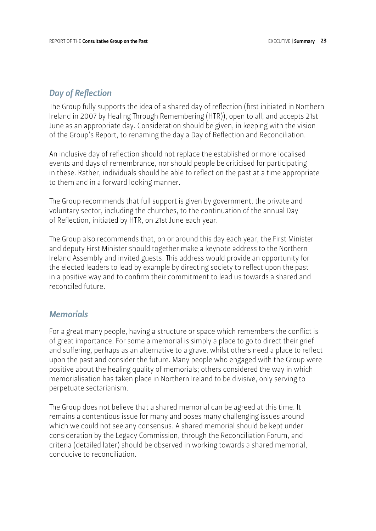#### *Day of Reflection*

The Group fully supports the idea of a shared day of reflection (first initiated in Northern Ireland in 2007 by Healing Through Remembering (HTR)), open to all, and accepts 21st June as an appropriate day. Consideration should be given, in keeping with the vision of the Group's Report, to renaming the day a Day of Reflection and Reconciliation.

An inclusive day of reflection should not replace the established or more localised events and days of remembrance, nor should people be criticised for participating in these. Rather, individuals should be able to reflect on the past at a time appropriate to them and in a forward looking manner.

The Group recommends that full support is given by government, the private and voluntary sector, including the churches, to the continuation of the annual Day of Reflection, initiated by HTR, on 21st June each year.

The Group also recommends that, on or around this day each year, the First Minister and deputy First Minister should together make a keynote address to the Northern Ireland Assembly and invited guests. This address would provide an opportunity for the elected leaders to lead by example by directing society to reflect upon the past in a positive way and to confirm their commitment to lead us towards a shared and reconciled future.

#### *Memorials*

For a great many people, having a structure or space which remembers the conflict is of great importance. For some a memorial is simply a place to go to direct their grief and suffering, perhaps as an alternative to a grave, whilst others need a place to reflect upon the past and consider the future. Many people who engaged with the Group were positive about the healing quality of memorials; others considered the way in which memorialisation has taken place in Northern Ireland to be divisive, only serving to perpetuate sectarianism.

The Group does not believe that a shared memorial can be agreed at this time. It remains a contentious issue for many and poses many challenging issues around which we could not see any consensus. A shared memorial should be kept under consideration by the Legacy Commission, through the Reconciliation Forum, and criteria (detailed later) should be observed in working towards a shared memorial, conducive to reconciliation.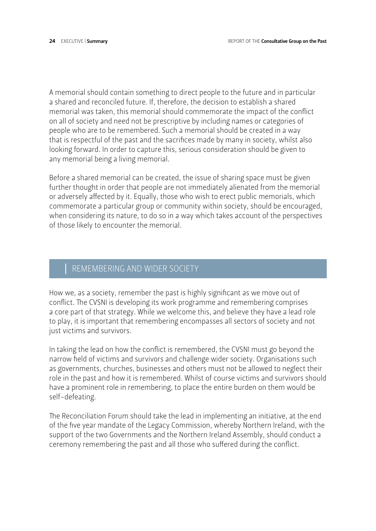A memorial should contain something to direct people to the future and in particular a shared and reconciled future. If, therefore, the decision to establish a shared memorial was taken, this memorial should commemorate the impact of the conflict on all of society and need not be prescriptive by including names or categories of people who are to be remembered. Such a memorial should be created in a way that is respectful of the past and the sacrifices made by many in society, whilst also looking forward. In order to capture this, serious consideration should be given to any memorial being a living memorial.

Before a shared memorial can be created, the issue of sharing space must be given further thought in order that people are not immediately alienated from the memorial or adversely affected by it. Equally, those who wish to erect public memorials, which commemorate a particular group or community within society, should be encouraged, when considering its nature, to do so in a way which takes account of the perspectives of those likely to encounter the memorial.

## REMEMBERING AND WIDER SOCIETY

How we, as a society, remember the past is highly significant as we move out of conflict. The CVSNI is developing its work programme and remembering comprises a core part of that strategy. While we welcome this, and believe they have a lead role to play, it is important that remembering encompasses all sectors of society and not just victims and survivors.

In taking the lead on how the conflict is remembered, the CVSNI must go beyond the narrow field of victims and survivors and challenge wider society. Organisations such as governments, churches, businesses and others must not be allowed to neglect their role in the past and how it is remembered. Whilst of course victims and survivors should have a prominent role in remembering, to place the entire burden on them would be self-defeating.

The Reconciliation Forum should take the lead in implementing an initiative, at the end of the five year mandate of the Legacy Commission, whereby Northern Ireland, with the support of the two Governments and the Northern Ireland Assembly, should conduct a ceremony remembering the past and all those who suffered during the conflict.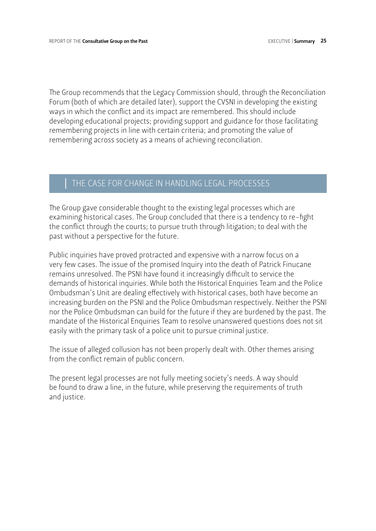The Group recommends that the Legacy Commission should, through the Reconciliation Forum (both of which are detailed later), support the CVSNI in developing the existing ways in which the conflict and its impact are remembered. This should include developing educational projects; providing support and guidance for those facilitating remembering projects in line with certain criteria; and promoting the value of remembering across society as a means of achieving reconciliation.

#### THE CASE FOR CHANGE IN HANDLING LEGAL PROCESSES

The Group gave considerable thought to the existing legal processes which are examining historical cases. The Group concluded that there is a tendency to re-fight the conflict through the courts; to pursue truth through litigation; to deal with the past without a perspective for the future.

Public inquiries have proved protracted and expensive with a narrow focus on a very few cases. The issue of the promised Inquiry into the death of Patrick Finucane remains unresolved. The PSNI have found it increasingly difficult to service the demands of historical inquiries. While both the Historical Enquiries Team and the Police Ombudsman's Unit are dealing effectively with historical cases, both have become an increasing burden on the PSNI and the Police Ombudsman respectively. Neither the PSNI nor the Police Ombudsman can build for the future if they are burdened by the past. The mandate of the Historical Enquiries Team to resolve unanswered questions does not sit easily with the primary task of a police unit to pursue criminal justice.

The issue of alleged collusion has not been properly dealt with. Other themes arising from the conflict remain of public concern.

The present legal processes are not fully meeting society's needs. A way should be found to draw a line, in the future, while preserving the requirements of truth and justice.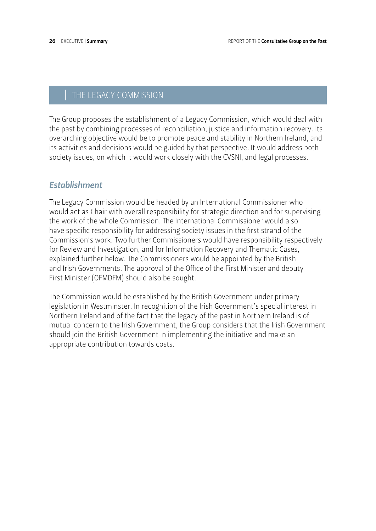## THE LEGACY COMMISSION

The Group proposes the establishment of a Legacy Commission, which would deal with the past by combining processes of reconciliation, justice and information recovery. Its overarching objective would be to promote peace and stability in Northern Ireland, and its activities and decisions would be guided by that perspective. It would address both society issues, on which it would work closely with the CVSNI, and legal processes.

#### *Establishment*

The Legacy Commission would be headed by an International Commissioner who would act as Chair with overall responsibility for strategic direction and for supervising the work of the whole Commission. The International Commissioner would also have specific responsibility for addressing society issues in the first strand of the Commission's work. Two further Commissioners would have responsibility respectively for Review and Investigation, and for Information Recovery and Thematic Cases, explained further below. The Commissioners would be appointed by the British and Irish Governments. The approval of the Office of the First Minister and deputy First Minister (OFMDFM) should also be sought.

The Commission would be established by the British Government under primary legislation in Westminster. In recognition of the Irish Government's special interest in Northern Ireland and of the fact that the legacy of the past in Northern Ireland is of mutual concern to the Irish Government, the Group considers that the Irish Government should join the British Government in implementing the initiative and make an appropriate contribution towards costs.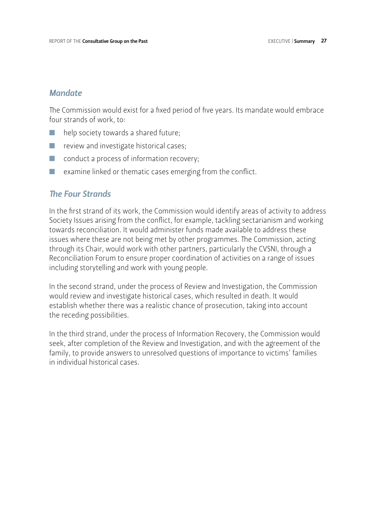#### *Mandate*

The Commission would exist for a fixed period of five years. Its mandate would embrace four strands of work, to:

- help society towards a shared future;
- $\blacksquare$  review and investigate historical cases;
- $\Box$  conduct a process of information recovery;
- $\blacksquare$  examine linked or thematic cases emerging from the conflict.

#### *The Four Strands*

In the first strand of its work, the Commission would identify areas of activity to address Society Issues arising from the conflict, for example, tackling sectarianism and working towards reconciliation. It would administer funds made available to address these issues where these are not being met by other programmes. The Commission, acting through its Chair, would work with other partners, particularly the CVSNI, through a Reconciliation Forum to ensure proper coordination of activities on a range of issues including storytelling and work with young people.

In the second strand, under the process of Review and Investigation, the Commission would review and investigate historical cases, which resulted in death. It would establish whether there was a realistic chance of prosecution, taking into account the receding possibilities.

In the third strand, under the process of Information Recovery, the Commission would seek, after completion of the Review and Investigation, and with the agreement of the family, to provide answers to unresolved questions of importance to victims' families in individual historical cases.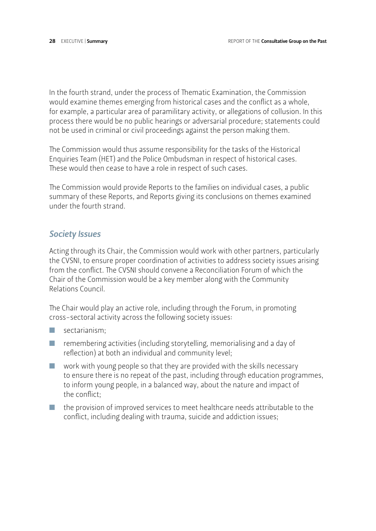In the fourth strand, under the process of Thematic Examination, the Commission would examine themes emerging from historical cases and the conflict as a whole, for example, a particular area of paramilitary activity, or allegations of collusion. In this process there would be no public hearings or adversarial procedure; statements could not be used in criminal or civil proceedings against the person making them.

The Commission would thus assume responsibility for the tasks of the Historical Enquiries Team (HET) and the Police Ombudsman in respect of historical cases. These would then cease to have a role in respect of such cases.

The Commission would provide Reports to the families on individual cases, a public summary of these Reports, and Reports giving its conclusions on themes examined under the fourth strand.

#### *Society Issues*

Acting through its Chair, the Commission would work with other partners, particularly the CVSNI, to ensure proper coordination of activities to address society issues arising from the conflict. The CVSNI should convene a Reconciliation Forum of which the Chair of the Commission would be a key member along with the Community Relations Council.

The Chair would play an active role, including through the Forum, in promoting cross-sectoral activity across the following society issues:

- $\Box$  sectarianism;
- $\blacksquare$  remembering activities (including storytelling, memorialising and a day of reflection) at both an individual and community level;
- $\blacksquare$  work with young people so that they are provided with the skills necessary to ensure there is no repeat of the past, including through education programmes, to inform young people, in a balanced way, about the nature and impact of the conflict;
- $\blacksquare$  the provision of improved services to meet healthcare needs attributable to the conflict, including dealing with trauma, suicide and addiction issues;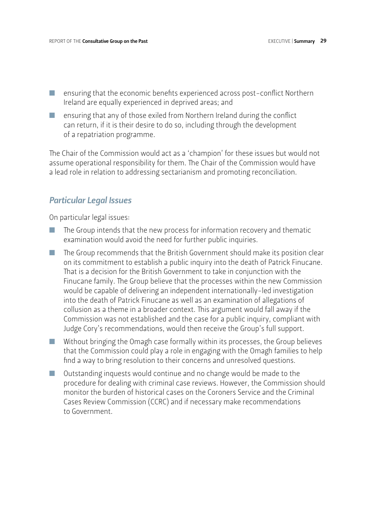- $\blacksquare$  ensuring that the economic benefits experienced across post-conflict Northern Ireland are equally experienced in deprived areas; and
- $\blacksquare$  ensuring that any of those exiled from Northern Ireland during the conflict can return, if it is their desire to do so, including through the development of a repatriation programme.

The Chair of the Commission would act as a 'champion' for these issues but would not assume operational responsibility for them. The Chair of the Commission would have a lead role in relation to addressing sectarianism and promoting reconciliation.

#### *Particular Legal Issues*

On particular legal issues:

- $\blacksquare$  The Group intends that the new process for information recovery and thematic examination would avoid the need for further public inquiries.
- $\blacksquare$  The Group recommends that the British Government should make its position clear on its commitment to establish a public inquiry into the death of Patrick Finucane. That is a decision for the British Government to take in conjunction with the Finucane family. The Group believe that the processes within the new Commission would be capable of delivering an independent internationally-led investigation into the death of Patrick Finucane as well as an examination of allegations of collusion as a theme in a broader context. This argument would fall away if the Commission was not established and the case for a public inquiry, compliant with Judge Cory's recommendations, would then receive the Group's full support.
- $\blacksquare$  Without bringing the Omagh case formally within its processes, the Group believes that the Commission could play a role in engaging with the Omagh families to help find a way to bring resolution to their concerns and unresolved questions.
- $\Box$  Outstanding inquests would continue and no change would be made to the procedure for dealing with criminal case reviews. However, the Commission should monitor the burden of historical cases on the Coroners Service and the Criminal Cases Review Commission (CCRC) and if necessary make recommendations to Government.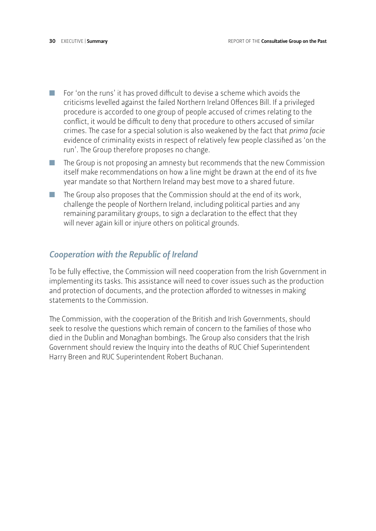- $\blacksquare$  For 'on the runs' it has proved difficult to devise a scheme which avoids the criticisms levelled against the failed Northern Ireland Offences Bill. If a privileged procedure is accorded to one group of people accused of crimes relating to the conflict, it would be difficult to deny that procedure to others accused of similar crimes. The case for a special solution is also weakened by the fact that *prima facie* evidence of criminality exists in respect of relatively few people classified as 'on the run'. The Group therefore proposes no change.
- $\blacksquare$  The Group is not proposing an amnesty but recommends that the new Commission itself make recommendations on how a line might be drawn at the end of its five year mandate so that Northern Ireland may best move to a shared future.
- $\blacksquare$  The Group also proposes that the Commission should at the end of its work, challenge the people of Northern Ireland, including political parties and any remaining paramilitary groups, to sign a declaration to the effect that they will never again kill or injure others on political grounds.

#### *Cooperation with the Republic of Ireland*

To be fully effective, the Commission will need cooperation from the Irish Government in implementing its tasks. This assistance will need to cover issues such as the production and protection of documents, and the protection afforded to witnesses in making statements to the Commission.

The Commission, with the cooperation of the British and Irish Governments, should seek to resolve the questions which remain of concern to the families of those who died in the Dublin and Monaghan bombings. The Group also considers that the Irish Government should review the Inquiry into the deaths of RUC Chief Superintendent Harry Breen and RUC Superintendent Robert Buchanan.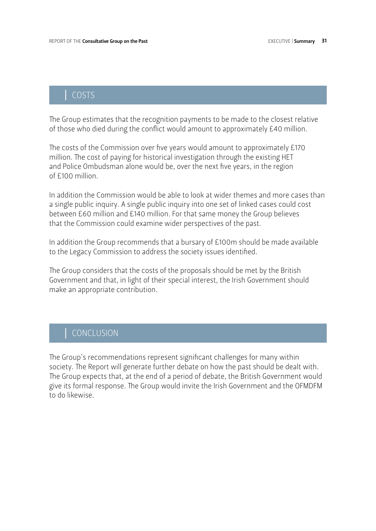## | COSTS

The Group estimates that the recognition payments to be made to the closest relative of those who died during the conflict would amount to approximately £40 million.

The costs of the Commission over five years would amount to approximately £170 million. The cost of paying for historical investigation through the existing HET and Police Ombudsman alone would be, over the next five years, in the region of £100 million.

In addition the Commission would be able to look at wider themes and more cases than a single public inquiry. A single public inquiry into one set of linked cases could cost between £60 million and £140 million. For that same money the Group believes that the Commission could examine wider perspectives of the past.

In addition the Group recommends that a bursary of £100m should be made available to the Legacy Commission to address the society issues identified.

The Group considers that the costs of the proposals should be met by the British Government and that, in light of their special interest, the Irish Government should make an appropriate contribution.

## | CONCLUSION

The Group's recommendations represent significant challenges for many within society. The Report will generate further debate on how the past should be dealt with. The Group expects that, at the end of a period of debate, the British Government would give its formal response. The Group would invite the Irish Government and the OFMDFM to do likewise.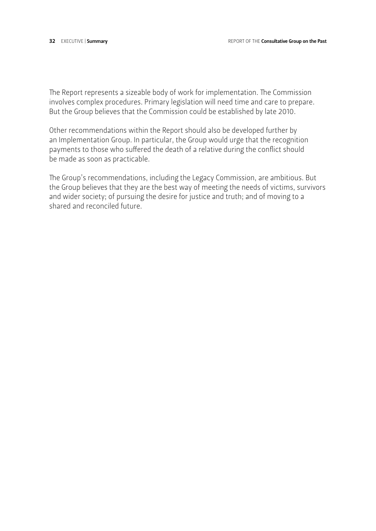The Report represents a sizeable body of work for implementation. The Commission involves complex procedures. Primary legislation will need time and care to prepare. But the Group believes that the Commission could be established by late 2010.

Other recommendations within the Report should also be developed further by an Implementation Group. In particular, the Group would urge that the recognition payments to those who suffered the death of a relative during the conflict should be made as soon as practicable.

The Group's recommendations, including the Legacy Commission, are ambitious. But the Group believes that they are the best way of meeting the needs of victims, survivors and wider society; of pursuing the desire for justice and truth; and of moving to a shared and reconciled future.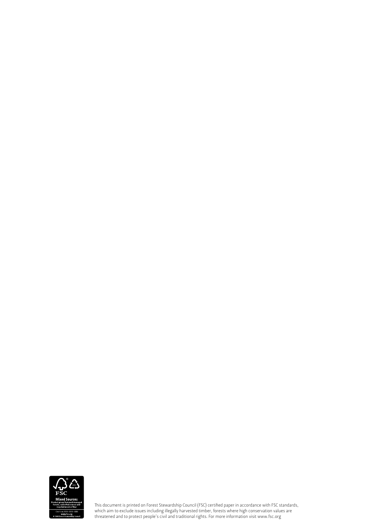

This document is printed on Forest Stewardship Council (FSC) certified paper in accordance with FSC standards, which aim to exclude issues including illegally harvested timber, forests where high conservation values are threatened and to protect people's civil and traditional rights. For more information visit www.fsc.org